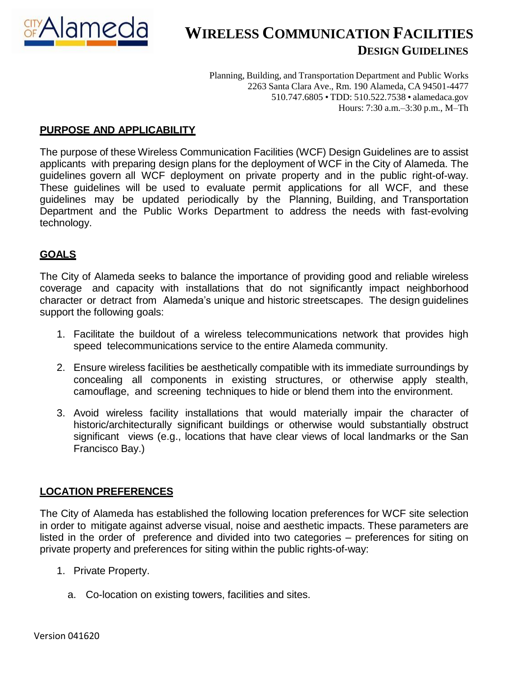

Planning, Building, and Transportation Department and Public Works 2263 Santa Clara Ave., Rm. 190 Alameda, CA 94501-4477 510.747.6805 • TDD: 510.522.7538 • alamedaca.gov Hours: 7:30 a.m.–3:30 p.m., M–Th

## **PURPOSE AND APPLICABILITY**

The purpose of these Wireless Communication Facilities (WCF) Design Guidelines are to assist applicants with preparing design plans for the deployment of WCF in the City of Alameda. The guidelines govern all WCF deployment on private property and in the public right-of-way. These guidelines will be used to evaluate permit applications for all WCF, and these guidelines may be updated periodically by the Planning, Building, and Transportation Department and the Public Works Department to address the needs with fast-evolving technology.

### **GOALS**

The City of Alameda seeks to balance the importance of providing good and reliable wireless coverage and capacity with installations that do not significantly impact neighborhood character or detract from Alameda's unique and historic streetscapes. The design guidelines support the following goals:

- 1. Facilitate the buildout of a wireless telecommunications network that provides high speed telecommunications service to the entire Alameda community.
- 2. Ensure wireless facilities be aesthetically compatible with its immediate surroundings by concealing all components in existing structures, or otherwise apply stealth, camouflage, and screening techniques to hide or blend them into the environment.
- 3. Avoid wireless facility installations that would materially impair the character of historic/architecturally significant buildings or otherwise would substantially obstruct significant views (e.g., locations that have clear views of local landmarks or the San Francisco Bay.)

### **LOCATION PREFERENCES**

The City of Alameda has established the following location preferences for WCF site selection in order to mitigate against adverse visual, noise and aesthetic impacts. These parameters are listed in the order of preference and divided into two categories – preferences for siting on private property and preferences for siting within the public rights-of-way:

- 1. Private Property.
	- a. Co-location on existing towers, facilities and sites.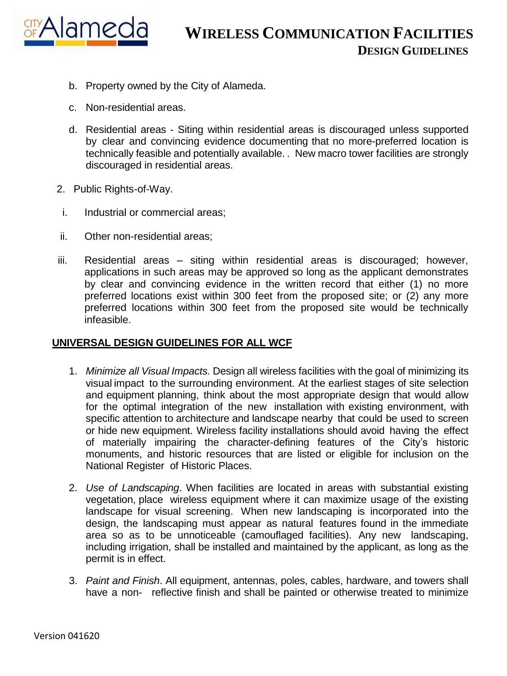

- b. Property owned by the City of Alameda.
- c. Non-residential areas.
- d. Residential areas Siting within residential areas is discouraged unless supported by clear and convincing evidence documenting that no more-preferred location is technically feasible and potentially available. . New macro tower facilities are strongly discouraged in residential areas.
- 2. Public Rights-of-Way.
- i. Industrial or commercial areas;
- ii. Other non-residential areas;
- iii. Residential areas siting within residential areas is discouraged; however, applications in such areas may be approved so long as the applicant demonstrates by clear and convincing evidence in the written record that either (1) no more preferred locations exist within 300 feet from the proposed site; or (2) any more preferred locations within 300 feet from the proposed site would be technically infeasible.

#### **UNIVERSAL DESIGN GUIDELINES FOR ALL WCF**

- 1. *Minimize all Visual Impacts.* Design all wireless facilities with the goal of minimizing its visual impact to the surrounding environment. At the earliest stages of site selection and equipment planning, think about the most appropriate design that would allow for the optimal integration of the new installation with existing environment, with specific attention to architecture and landscape nearby that could be used to screen or hide new equipment. Wireless facility installations should avoid having the effect of materially impairing the character-defining features of the City's historic monuments, and historic resources that are listed or eligible for inclusion on the National Register of Historic Places.
- 2. *Use of Landscaping*. When facilities are located in areas with substantial existing vegetation, place wireless equipment where it can maximize usage of the existing landscape for visual screening. When new landscaping is incorporated into the design, the landscaping must appear as natural features found in the immediate area so as to be unnoticeable (camouflaged facilities). Any new landscaping, including irrigation, shall be installed and maintained by the applicant, as long as the permit is in effect.
- 3. *Paint and Finish*. All equipment, antennas, poles, cables, hardware, and towers shall have a non- reflective finish and shall be painted or otherwise treated to minimize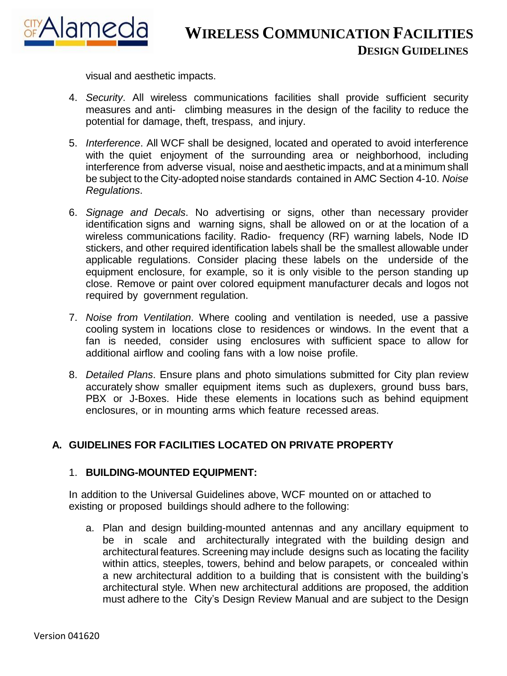

visual and aesthetic impacts.

- 4. *Security*. All wireless communications facilities shall provide sufficient security measures and anti- climbing measures in the design of the facility to reduce the potential for damage, theft, trespass, and injury.
- 5. *Interference*. All WCF shall be designed, located and operated to avoid interference with the quiet enjoyment of the surrounding area or neighborhood, including interference from adverse visual, noise and aesthetic impacts, and at a minimum shall be subject to the City-adopted noise standards contained in AMC Section 4-10. *Noise Regulations*.
- 6. *Signage and Decals*. No advertising or signs, other than necessary provider identification signs and warning signs, shall be allowed on or at the location of a wireless communications facility. Radio- frequency (RF) warning labels, Node ID stickers, and other required identification labels shall be the smallest allowable under applicable regulations. Consider placing these labels on the underside of the equipment enclosure, for example, so it is only visible to the person standing up close. Remove or paint over colored equipment manufacturer decals and logos not required by government regulation.
- 7. *Noise from Ventilation*. Where cooling and ventilation is needed, use a passive cooling system in locations close to residences or windows. In the event that a fan is needed, consider using enclosures with sufficient space to allow for additional airflow and cooling fans with a low noise profile.
- 8. *Detailed Plans*. Ensure plans and photo simulations submitted for City plan review accurately show smaller equipment items such as duplexers, ground buss bars, PBX or J-Boxes. Hide these elements in locations such as behind equipment enclosures, or in mounting arms which feature recessed areas.

### **A. GUIDELINES FOR FACILITIES LOCATED ON PRIVATE PROPERTY**

#### 1. **BUILDING-MOUNTED EQUIPMENT:**

In addition to the Universal Guidelines above, WCF mounted on or attached to existing or proposed buildings should adhere to the following:

a. Plan and design building-mounted antennas and any ancillary equipment to be in scale and architecturally integrated with the building design and architectural features. Screening may include designs such as locating the facility within attics, steeples, towers, behind and below parapets, or concealed within a new architectural addition to a building that is consistent with the building's architectural style. When new architectural additions are proposed, the addition must adhere to the City's Design Review Manual and are subject to the Design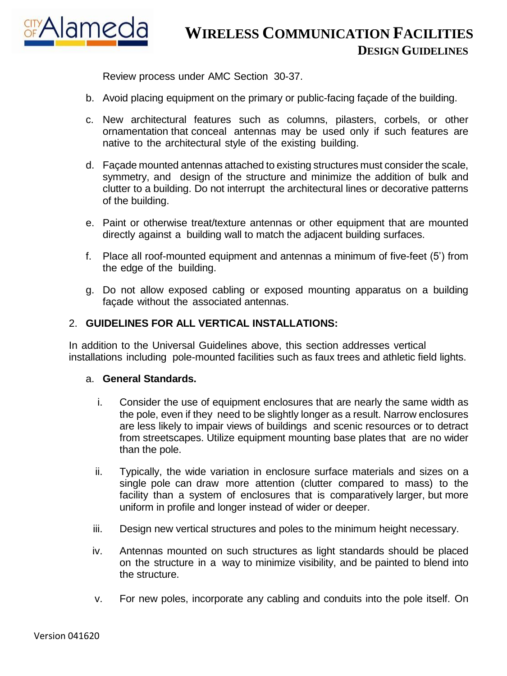

Review process under AMC Section 30-37.

- b. Avoid placing equipment on the primary or public-facing façade of the building.
- c. New architectural features such as columns, pilasters, corbels, or other ornamentation that conceal antennas may be used only if such features are native to the architectural style of the existing building.
- d. Façade mounted antennas attached to existing structures must consider the scale, symmetry, and design of the structure and minimize the addition of bulk and clutter to a building. Do not interrupt the architectural lines or decorative patterns of the building.
- e. Paint or otherwise treat/texture antennas or other equipment that are mounted directly against a building wall to match the adjacent building surfaces.
- f. Place all roof-mounted equipment and antennas a minimum of five-feet (5') from the edge of the building.
- g. Do not allow exposed cabling or exposed mounting apparatus on a building façade without the associated antennas.

### 2. **GUIDELINES FOR ALL VERTICAL INSTALLATIONS:**

In addition to the Universal Guidelines above, this section addresses vertical installations including pole-mounted facilities such as faux trees and athletic field lights.

#### a. **General Standards.**

- i. Consider the use of equipment enclosures that are nearly the same width as the pole, even if they need to be slightly longer as a result. Narrow enclosures are less likely to impair views of buildings and scenic resources or to detract from streetscapes. Utilize equipment mounting base plates that are no wider than the pole.
- ii. Typically, the wide variation in enclosure surface materials and sizes on a single pole can draw more attention (clutter compared to mass) to the facility than a system of enclosures that is comparatively larger, but more uniform in profile and longer instead of wider or deeper.
- iii. Design new vertical structures and poles to the minimum height necessary.
- iv. Antennas mounted on such structures as light standards should be placed on the structure in a way to minimize visibility, and be painted to blend into the structure.
- v. For new poles, incorporate any cabling and conduits into the pole itself. On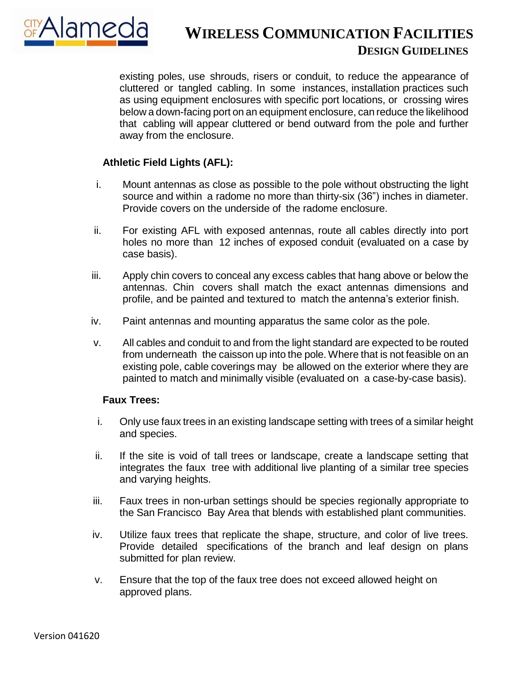

existing poles, use shrouds, risers or conduit, to reduce the appearance of cluttered or tangled cabling. In some instances, installation practices such as using equipment enclosures with specific port locations, or crossing wires below a down-facing port on an equipment enclosure, can reduce the likelihood that cabling will appear cluttered or bend outward from the pole and further away from the enclosure.

### **Athletic Field Lights (AFL):**

- i. Mount antennas as close as possible to the pole without obstructing the light source and within a radome no more than thirty-six (36") inches in diameter. Provide covers on the underside of the radome enclosure.
- ii. For existing AFL with exposed antennas, route all cables directly into port holes no more than 12 inches of exposed conduit (evaluated on a case by case basis).
- iii. Apply chin covers to conceal any excess cables that hang above or below the antennas. Chin covers shall match the exact antennas dimensions and profile, and be painted and textured to match the antenna's exterior finish.
- iv. Paint antennas and mounting apparatus the same color as the pole.
- v. All cables and conduit to and from the light standard are expected to be routed from underneath the caisson up into the pole. Where that is not feasible on an existing pole, cable coverings may be allowed on the exterior where they are painted to match and minimally visible (evaluated on a case-by-case basis).

#### **Faux Trees:**

- i. Only use faux trees in an existing landscape setting with trees of a similar height and species.
- ii. If the site is void of tall trees or landscape, create a landscape setting that integrates the faux tree with additional live planting of a similar tree species and varying heights.
- iii. Faux trees in non-urban settings should be species regionally appropriate to the San Francisco Bay Area that blends with established plant communities.
- iv. Utilize faux trees that replicate the shape, structure, and color of live trees. Provide detailed specifications of the branch and leaf design on plans submitted for plan review.
- v. Ensure that the top of the faux tree does not exceed allowed height on approved plans.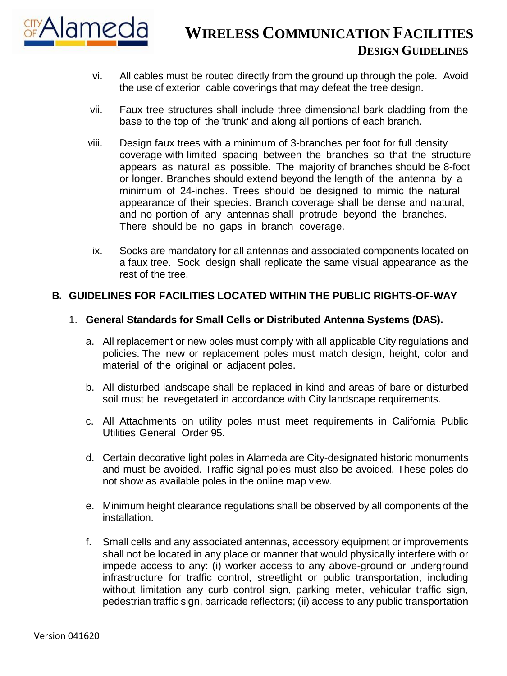

- vi. All cables must be routed directly from the ground up through the pole. Avoid the use of exterior cable coverings that may defeat the tree design.
- vii. Faux tree structures shall include three dimensional bark cladding from the base to the top of the 'trunk' and along all portions of each branch.
- viii. Design faux trees with a minimum of 3-branches per foot for full density coverage with limited spacing between the branches so that the structure appears as natural as possible. The majority of branches should be 8-foot or longer. Branches should extend beyond the length of the antenna by a minimum of 24-inches. Trees should be designed to mimic the natural appearance of their species. Branch coverage shall be dense and natural, and no portion of any antennas shall protrude beyond the branches. There should be no gaps in branch coverage.
- ix. Socks are mandatory for all antennas and associated components located on a faux tree. Sock design shall replicate the same visual appearance as the rest of the tree.

### **B. GUIDELINES FOR FACILITIES LOCATED WITHIN THE PUBLIC RIGHTS-OF-WAY**

### 1. **General Standards for Small Cells or Distributed Antenna Systems (DAS).**

- a. All replacement or new poles must comply with all applicable City regulations and policies. The new or replacement poles must match design, height, color and material of the original or adiacent poles.
- b. All disturbed landscape shall be replaced in-kind and areas of bare or disturbed soil must be revegetated in accordance with City landscape requirements.
- c. All Attachments on utility poles must meet requirements in California Public Utilities General Order 95.
- d. Certain decorative light poles in Alameda are City-designated historic monuments and must be avoided. Traffic signal poles must also be avoided. These poles do not show as available poles in the online map view.
- e. Minimum height clearance regulations shall be observed by all components of the installation.
- f. Small cells and any associated antennas, accessory equipment or improvements shall not be located in any place or manner that would physically interfere with or impede access to any: (i) worker access to any above-ground or underground infrastructure for traffic control, streetlight or public transportation, including without limitation any curb control sign, parking meter, vehicular traffic sign, pedestrian traffic sign, barricade reflectors; (ii) access to any public transportation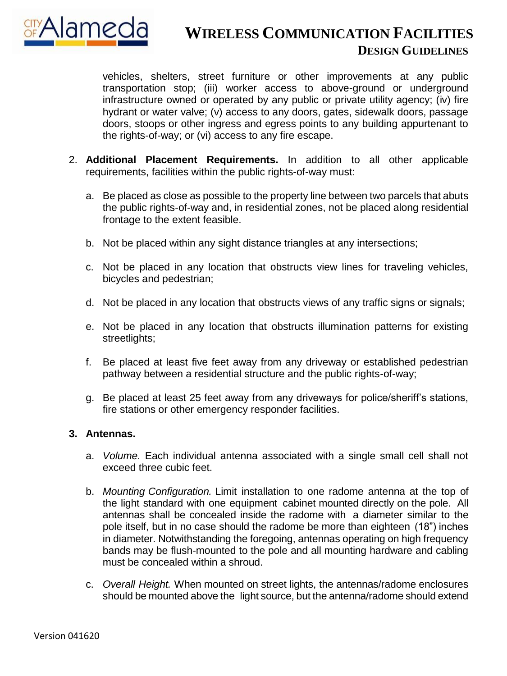

vehicles, shelters, street furniture or other improvements at any public transportation stop; (iii) worker access to above-ground or underground infrastructure owned or operated by any public or private utility agency; (iv) fire hydrant or water valve; (v) access to any doors, gates, sidewalk doors, passage doors, stoops or other ingress and egress points to any building appurtenant to the rights-of-way; or (vi) access to any fire escape.

- 2. **Additional Placement Requirements.** In addition to all other applicable requirements, facilities within the public rights-of-way must:
	- a. Be placed as close as possible to the property line between two parcels that abuts the public rights-of-way and, in residential zones, not be placed along residential frontage to the extent feasible.
	- b. Not be placed within any sight distance triangles at any intersections;
	- c. Not be placed in any location that obstructs view lines for traveling vehicles, bicycles and pedestrian;
	- d. Not be placed in any location that obstructs views of any traffic signs or signals;
	- e. Not be placed in any location that obstructs illumination patterns for existing streetlights;
	- f. Be placed at least five feet away from any driveway or established pedestrian pathway between a residential structure and the public rights-of-way;
	- g. Be placed at least 25 feet away from any driveways for police/sheriff's stations, fire stations or other emergency responder facilities.

### **3. Antennas.**

- a. *Volume.* Each individual antenna associated with a single small cell shall not exceed three cubic feet.
- b. *Mounting Configuration.* Limit installation to one radome antenna at the top of the light standard with one equipment cabinet mounted directly on the pole. All antennas shall be concealed inside the radome with a diameter similar to the pole itself, but in no case should the radome be more than eighteen (18") inches in diameter. Notwithstanding the foregoing, antennas operating on high frequency bands may be flush-mounted to the pole and all mounting hardware and cabling must be concealed within a shroud.
- c. *Overall Height.* When mounted on street lights, the antennas/radome enclosures should be mounted above the light source, but the antenna/radome should extend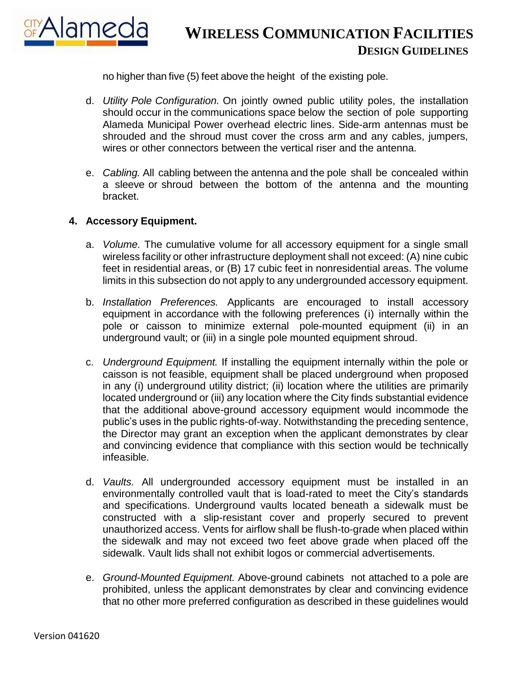

no higher than five (5) feet above the height of the existing pole.

- d. *Utility Pole Configuration.* On jointly owned public utility poles, the installation should occur in the communications space below the section of pole supporting Alameda Municipal Power overhead electric lines. Side-arm antennas must be shrouded and the shroud must cover the cross arm and any cables, jumpers, wires or other connectors between the vertical riser and the antenna.
- e. *Cabling.* All cabling between the antenna and the pole shall be concealed within a sleeve or shroud between the bottom of the antenna and the mounting bracket.

### **4. Accessory Equipment.**

- a. *Volume.* The cumulative volume for all accessory equipment for a single small wireless facility or other infrastructure deployment shall not exceed: (A) nine cubic feet in residential areas, or (B) 17 cubic feet in nonresidential areas. The volume limits in this subsection do not apply to any undergrounded accessory equipment.
- b. *Installation Preferences.* Applicants are encouraged to install accessory equipment in accordance with the following preferences (i) internally within the pole or caisson to minimize external pole-mounted equipment (ii) in an underground vault; or (iii) in a single pole mounted equipment shroud.
- c. *Underground Equipment.* If installing the equipment internally within the pole or caisson is not feasible, equipment shall be placed underground when proposed in any (i) underground utility district; (ii) location where the utilities are primarily located underground or (iii) any location where the City finds substantial evidence that the additional above-ground accessory equipment would incommode the public's uses in the public rights-of-way. Notwithstanding the preceding sentence, the Director may grant an exception when the applicant demonstrates by clear and convincing evidence that compliance with this section would be technically infeasible.
- d. *Vaults.* All undergrounded accessory equipment must be installed in an environmentally controlled vault that is load-rated to meet the City's standards and specifications. Underground vaults located beneath a sidewalk must be constructed with a slip-resistant cover and properly secured to prevent unauthorized access. Vents for airflow shall be flush-to-grade when placed within the sidewalk and may not exceed two feet above grade when placed off the sidewalk. Vault lids shall not exhibit logos or commercial advertisements.
- e. *Ground-Mounted Equipment.* Above-ground cabinets not attached to a pole are prohibited, unless the applicant demonstrates by clear and convincing evidence that no other more preferred configuration as described in these guidelines would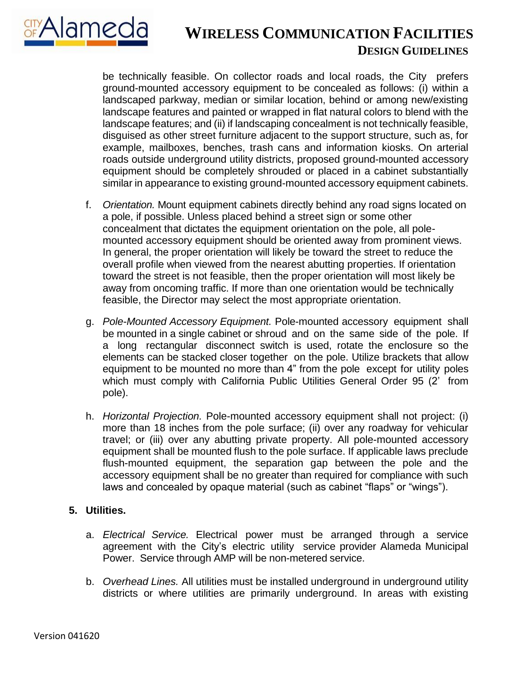

be technically feasible. On collector roads and local roads, the City prefers ground-mounted accessory equipment to be concealed as follows: (i) within a landscaped parkway, median or similar location, behind or among new/existing landscape features and painted or wrapped in flat natural colors to blend with the landscape features; and (ii) if landscaping concealment is not technically feasible, disguised as other street furniture adjacent to the support structure, such as, for example, mailboxes, benches, trash cans and information kiosks. On arterial roads outside underground utility districts, proposed ground-mounted accessory equipment should be completely shrouded or placed in a cabinet substantially similar in appearance to existing ground-mounted accessory equipment cabinets.

- f. *Orientation.* Mount equipment cabinets directly behind any road signs located on a pole, if possible. Unless placed behind a street sign or some other concealment that dictates the equipment orientation on the pole, all polemounted accessory equipment should be oriented away from prominent views. In general, the proper orientation will likely be toward the street to reduce the overall profile when viewed from the nearest abutting properties. If orientation toward the street is not feasible, then the proper orientation will most likely be away from oncoming traffic. If more than one orientation would be technically feasible, the Director may select the most appropriate orientation.
- g. *Pole-Mounted Accessory Equipment.* Pole-mounted accessory equipment shall be mounted in a single cabinet or shroud and on the same side of the pole. If a long rectangular disconnect switch is used, rotate the enclosure so the elements can be stacked closer together on the pole. Utilize brackets that allow equipment to be mounted no more than 4" from the pole except for utility poles which must comply with California Public Utilities General Order 95 (2' from pole).
- h. *Horizontal Projection.* Pole-mounted accessory equipment shall not project: (i) more than 18 inches from the pole surface; (ii) over any roadway for vehicular travel; or (iii) over any abutting private property. All pole-mounted accessory equipment shall be mounted flush to the pole surface. If applicable laws preclude flush-mounted equipment, the separation gap between the pole and the accessory equipment shall be no greater than required for compliance with such laws and concealed by opaque material (such as cabinet "flaps" or "wings").

### **5. Utilities.**

- a. *Electrical Service.* Electrical power must be arranged through a service agreement with the City's electric utility service provider Alameda Municipal Power. Service through AMP will be non-metered service.
- b. *Overhead Lines.* All utilities must be installed underground in underground utility districts or where utilities are primarily underground. In areas with existing